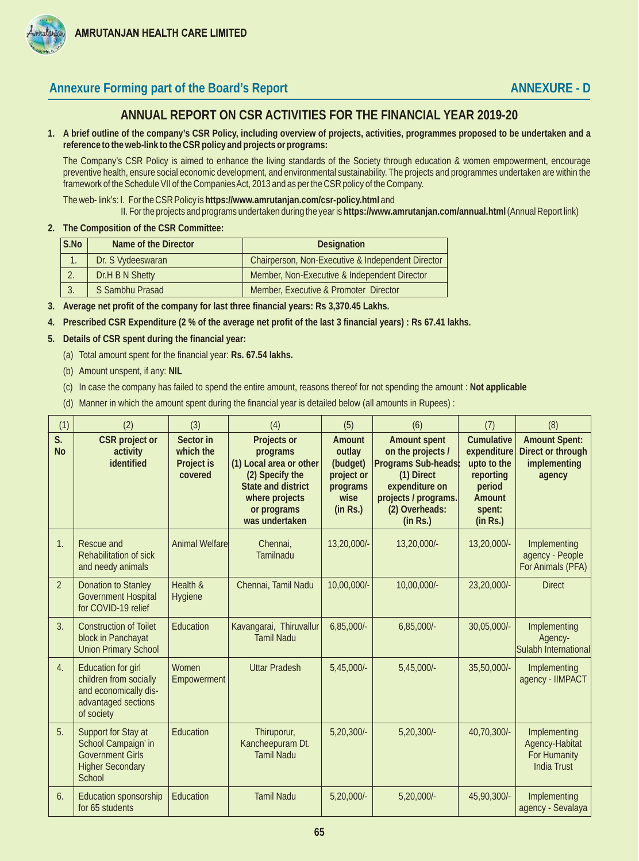

## Annexure Forming part of the Board's Report **ANNEXURE - D** ANNEXURE - D

## **ANNUAL REPORT ON CSR ACTIVITIES FOR THE FINANCIAL YEAR 2019-20**

**1. A brief outline of the company's CSR Policy, including overview of projects, activities, programmes proposed to be undertaken and a reference to the web-link to the CSR policy and projects or programs:**

The Company's CSR Policy is aimed to enhance the living standards of the Society through education & women empowerment, encourage preventive health, ensure social economic development, and environmental sustainability. The projects and programmes undertaken are within the framework of the Schedule VII of the Companies Act, 2013 and as per the CSR policy of the Company.

The web- link's: I. For the CSR Policy is **https://www.amrutanjan.com/csr-policy.html** and

II. For the projects and programs undertaken during the year is **https://www.amrutanjan.com/annual.html** (Annual Report link)

**2. The Composition of the CSR Committee:**

| S.No            | Name of the Director | <b>Designation</b>                                |  |  |  |
|-----------------|----------------------|---------------------------------------------------|--|--|--|
|                 | Dr. S Vydeeswaran    | Chairperson, Non-Executive & Independent Director |  |  |  |
|                 | Dr.H B N Shetty      | Member, Non-Executive & Independent Director      |  |  |  |
| $\mathfrak{I}.$ | S Sambhu Prasad      | Member, Executive & Promoter Director             |  |  |  |

- **3. Average net profit of the company for last three financial years: Rs 3,370.45 Lakhs.**
- **4. Prescribed CSR Expenditure (2 % of the average net profit of the last 3 financial years) : Rs 67.41 lakhs.**
- **5. Details of CSR spent during the financial year:**
	- (a) Total amount spent for the financial year: **Rs. 67.54 lakhs.**
	- (b) Amount unspent, if any: **NIL**
	- (c) In case the company has failed to spend the entire amount, reasons thereof for not spending the amount : **Not applicable**
	- (d) Manner in which the amount spent during the financial year is detailed below (all amounts in Rupees) :

| (1)             | (2)                                                                                                               | (3)                                             | (4)                                                                                                                                            | (5)                                                                        | (6)                                                                                                                                            | (7)                                                                                             | (8)                                                                  |
|-----------------|-------------------------------------------------------------------------------------------------------------------|-------------------------------------------------|------------------------------------------------------------------------------------------------------------------------------------------------|----------------------------------------------------------------------------|------------------------------------------------------------------------------------------------------------------------------------------------|-------------------------------------------------------------------------------------------------|----------------------------------------------------------------------|
| S.<br><b>No</b> | CSR project or<br>activity<br>identified                                                                          | Sector in<br>which the<br>Project is<br>covered | Projects or<br>programs<br>(1) Local area or other<br>(2) Specify the<br>State and district<br>where projects<br>or programs<br>was undertaken | Amount<br>outlay<br>(budget)<br>project or<br>programs<br>wise<br>(in Rs.) | Amount spent<br>on the projects /<br>Programs Sub-heads:<br>(1) Direct<br>expenditure on<br>projects / programs.<br>(2) Overheads:<br>(in Rs.) | Cumulative<br>expenditure<br>upto to the<br>reporting<br>period<br>Amount<br>spent:<br>(in Rs.) | <b>Amount Spent:</b><br>Direct or through<br>implementing<br>agency  |
| 1.              | Rescue and<br>Rehabilitation of sick<br>and needy animals                                                         | <b>Animal Welfare</b>                           | Chennai.<br>Tamilnadu                                                                                                                          | 13,20,000/-                                                                | 13,20,000/-                                                                                                                                    | 13,20,000/-                                                                                     | Implementing<br>agency - People<br>For Animals (PFA)                 |
| $\overline{2}$  | <b>Donation to Stanley</b><br><b>Government Hospital</b><br>for COVID-19 relief                                   | Health &<br>Hygiene                             | Chennai, Tamil Nadu                                                                                                                            | 10,00,000/-                                                                | 10,00,000/-                                                                                                                                    | 23,20,000/-                                                                                     | <b>Direct</b>                                                        |
| 3.              | <b>Construction of Toilet</b><br>block in Panchayat<br><b>Union Primary School</b>                                | Education                                       | Kavangarai, Thiruvallur<br><b>Tamil Nadu</b>                                                                                                   | $6,85,000/-$                                                               | $6,85,000/-$                                                                                                                                   | 30,05,000/-                                                                                     | Implementing<br>Agency-<br>Sulabh International                      |
| 4.              | <b>Education for girl</b><br>children from socially<br>and economically dis-<br>advantaged sections<br>of society | Women<br>Empowerment                            | <b>Uttar Pradesh</b>                                                                                                                           | 5,45,000/-                                                                 | $5,45,000/-$                                                                                                                                   | 35,50,000/-                                                                                     | Implementing<br>agency - IIMPACT                                     |
| 5.              | Support for Stay at<br>School Campaign' in<br><b>Government Girls</b><br><b>Higher Secondary</b><br>School        | Education                                       | Thiruporur,<br>Kancheepuram Dt.<br><b>Tamil Nadu</b>                                                                                           | $5,20,300/-$                                                               | $5,20,300/-$                                                                                                                                   | 40,70,300/-                                                                                     | Implementing<br>Agency-Habitat<br>For Humanity<br><b>India Trust</b> |
| 6.              | Education sponsorship<br>for 65 students                                                                          | Education                                       | <b>Tamil Nadu</b>                                                                                                                              | $5,20,000/-$                                                               | $5,20,000/-$                                                                                                                                   | 45,90,300/-                                                                                     | Implementing<br>agency - Sevalaya                                    |